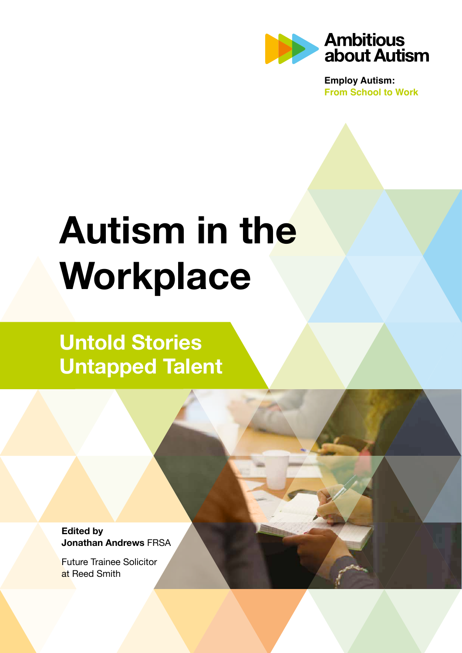

**Employ Autism: From School to Work**

# **Autism in the Workplace**

# **Untold Stories Untapped Talent**

**Edited by Jonathan Andrews** FRSA

Future Trainee Solicitor at Reed Smith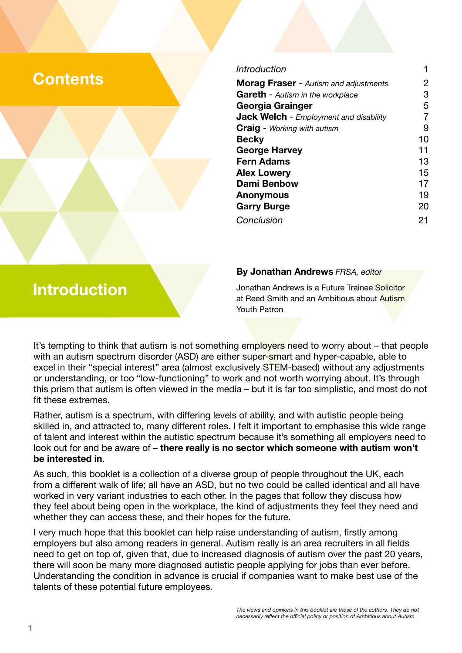# **Contents**

| 2  |
|----|
| З  |
| 5  |
|    |
| 9  |
| 10 |
| 11 |
| 13 |
| 15 |
| 17 |
| 19 |
| 20 |
| 21 |
|    |

#### **By Jonathan Andrews** *FRSA, editor*

Jonathan Andrews is a Future Trainee Solicitor at Reed Smith and an Ambitious about Autism Youth Patron

It's tempting to think that autism is not something employers need to worry about – that people with an autism spectrum disorder (ASD) are either super-smart and hyper-capable, able to excel in their "special interest" area (almost exclusively STEM-based) without any adjustments or understanding, or too "low-functioning" to work and not worth worrying about. It's through this prism that autism is often viewed in the media – but it is far too simplistic, and most do not fit these extremes.

Rather, autism is a spectrum, with differing levels of ability, and with autistic people being skilled in, and attracted to, many different roles. I felt it important to emphasise this wide range of talent and interest within the autistic spectrum because it's something all employers need to look out for and be aware of – **there really is no sector which someone with autism won't be interested in**.

As such, this booklet is a collection of a diverse group of people throughout the UK, each from a different walk of life; all have an ASD, but no two could be called identical and all have worked in very variant industries to each other. In the pages that follow they discuss how they feel about being open in the workplace, the kind of adjustments they feel they need and whether they can access these, and their hopes for the future.

I very much hope that this booklet can help raise understanding of autism, firstly among employers but also among readers in general. Autism really is an area recruiters in all fields need to get on top of, given that, due to increased diagnosis of autism over the past 20 years, there will soon be many more diagnosed autistic people applying for jobs than ever before. Understanding the condition in advance is crucial if companies want to make best use of the talents of these potential future employees.

# **Introduction**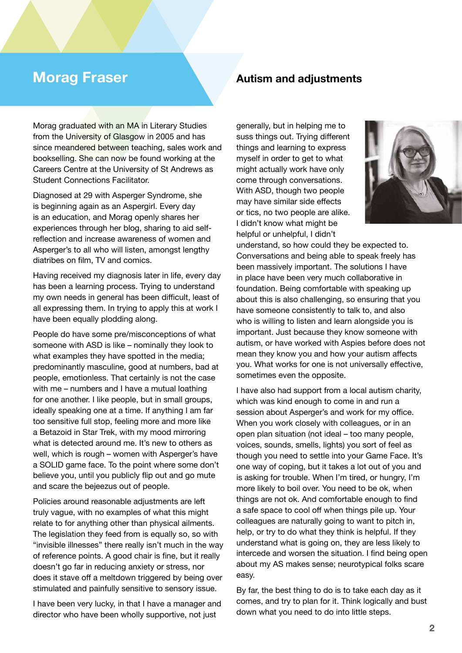Morag graduated with an MA in Literary Studies from the University of Glasgow in 2005 and has since meandered between teaching, sales work and bookselling. She can now be found working at the Careers Centre at the University of St Andrews as Student Connections Facilitator.

Diagnosed at 29 with Asperger Syndrome, she is beginning again as an Aspergirl. Every day is an education, and Morag openly shares her experiences through her blog, sharing to aid selfreflection and increase awareness of women and Asperger's to all who will listen, amongst lengthy diatribes on film, TV and comics.

Having received my diagnosis later in life, every day has been a learning process. Trying to understand my own needs in general has been difficult, least of all expressing them. In trying to apply this at work I have been equally plodding along.

People do have some pre/misconceptions of what someone with ASD is like – nominally they look to what examples they have spotted in the media; predominantly masculine, good at numbers, bad at people, emotionless. That certainly is not the case with me – numbers and I have a mutual loathing for one another. I like people, but in small groups, ideally speaking one at a time. If anything I am far too sensitive full stop, feeling more and more like a Betazoid in Star Trek, with my mood mirroring what is detected around me. It's new to others as well, which is rough – women with Asperger's have a SOLID game face. To the point where some don't believe you, until you publicly flip out and go mute and scare the bejeezus out of people.

Policies around reasonable adjustments are left truly vague, with no examples of what this might relate to for anything other than physical ailments. The legislation they feed from is equally so, so with "invisible illnesses" there really isn't much in the way of reference points. A good chair is fine, but it really doesn't go far in reducing anxiety or stress, nor does it stave off a meltdown triggered by being over stimulated and painfully sensitive to sensory issue.

I have been very lucky, in that I have a manager and director who have been wholly supportive, not just

# **Morag Fraser <b>Autism** and adjustments

generally, but in helping me to suss things out. Trying different things and learning to express myself in order to get to what might actually work have only come through conversations. With ASD, though two people may have similar side effects or tics, no two people are alike. I didn't know what might be helpful or unhelpful, I didn't



understand, so how could they be expected to. Conversations and being able to speak freely has been massively important. The solutions I have in place have been very much collaborative in foundation. Being comfortable with speaking up about this is also challenging, so ensuring that you have someone consistently to talk to, and also who is willing to listen and learn alongside you is important. Just because they know someone with autism, or have worked with Aspies before does not mean they know you and how your autism affects you. What works for one is not universally effective, sometimes even the opposite.

I have also had support from a local autism charity, which was kind enough to come in and run a session about Asperger's and work for my office. When you work closely with colleagues, or in an open plan situation (not ideal – too many people, voices, sounds, smells, lights) you sort of feel as though you need to settle into your Game Face. It's one way of coping, but it takes a lot out of you and is asking for trouble. When I'm tired, or hungry, I'm more likely to boil over. You need to be ok, when things are not ok. And comfortable enough to find a safe space to cool off when things pile up. Your colleagues are naturally going to want to pitch in, help, or try to do what they think is helpful. If they understand what is going on, they are less likely to intercede and worsen the situation. I find being open about my AS makes sense; neurotypical folks scare easy.

By far, the best thing to do is to take each day as it comes, and try to plan for it. Think logically and bust down what you need to do into little steps.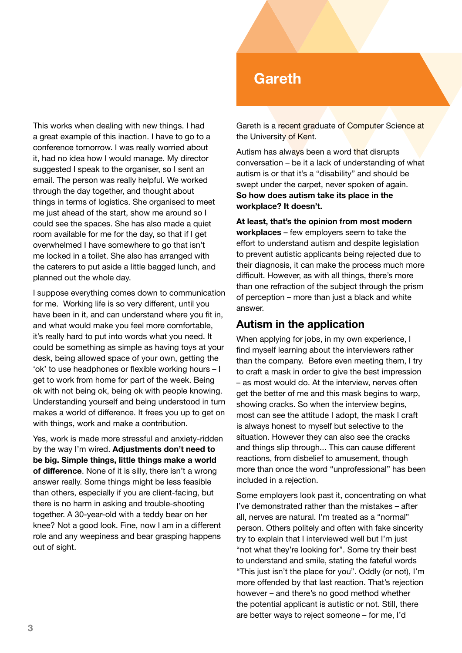This works when dealing with new things. I had a great example of this inaction. I have to go to a conference tomorrow. I was really worried about it, had no idea how I would manage. My director suggested I speak to the organiser, so I sent an email. The person was really helpful. We worked through the day together, and thought about things in terms of logistics. She organised to meet me just ahead of the start, show me around so I could see the spaces. She has also made a quiet room available for me for the day, so that if I get overwhelmed I have somewhere to go that isn't me locked in a toilet. She also has arranged with the caterers to put aside a little bagged lunch, and planned out the whole day.

I suppose everything comes down to communication for me. Working life is so very different, until you have been in it, and can understand where you fit in, and what would make you feel more comfortable, it's really hard to put into words what you need. It could be something as simple as having toys at your desk, being allowed space of your own, getting the 'ok' to use headphones or flexible working hours – I get to work from home for part of the week. Being ok with not being ok, being ok with people knowing. Understanding yourself and being understood in turn makes a world of difference. It frees you up to get on with things, work and make a contribution.

Yes, work is made more stressful and anxiety-ridden by the way I'm wired. **Adjustments don't need to be big. Simple things, little things make a world of difference**. None of it is silly, there isn't a wrong answer really. Some things might be less feasible than others, especially if you are client-facing, but there is no harm in asking and trouble-shooting together. A 30-year-old with a teddy bear on her knee? Not a good look. Fine, now I am in a different role and any weepiness and bear grasping happens out of sight.

# **Gareth**

Gareth is a recent graduate of Computer Science at the University of Kent.

Autism has always been a word that disrupts conversation – be it a lack of understanding of what autism is or that it's a "disability" and should be swept under the carpet, never spoken of again. **So how does autism take its place in the workplace? It doesn't.**

**At least, that's the opinion from most modern workplaces** – few employers seem to take the effort to understand autism and despite legislation to prevent autistic applicants being rejected due to their diagnosis, it can make the process much more difficult. However, as with all things, there's more than one refraction of the subject through the prism of perception – more than just a black and white answer.

#### **Autism in the application**

When applying for jobs, in my own experience, I find myself learning about the interviewers rather than the company. Before even meeting them, I try to craft a mask in order to give the best impression – as most would do. At the interview, nerves often get the better of me and this mask begins to warp, showing cracks. So when the interview begins, most can see the attitude I adopt, the mask I craft is always honest to myself but selective to the situation. However they can also see the cracks and things slip through... This can cause different reactions, from disbelief to amusement, though more than once the word "unprofessional" has been included in a rejection.

Some employers look past it, concentrating on what I've demonstrated rather than the mistakes – after all, nerves are natural. I'm treated as a "normal" person. Others politely and often with fake sincerity try to explain that I interviewed well but I'm just "not what they're looking for". Some try their best to understand and smile, stating the fateful words "This just isn't the place for you". Oddly (or not), I'm more offended by that last reaction. That's rejection however – and there's no good method whether the potential applicant is autistic or not. Still, there are better ways to reject someone – for me, I'd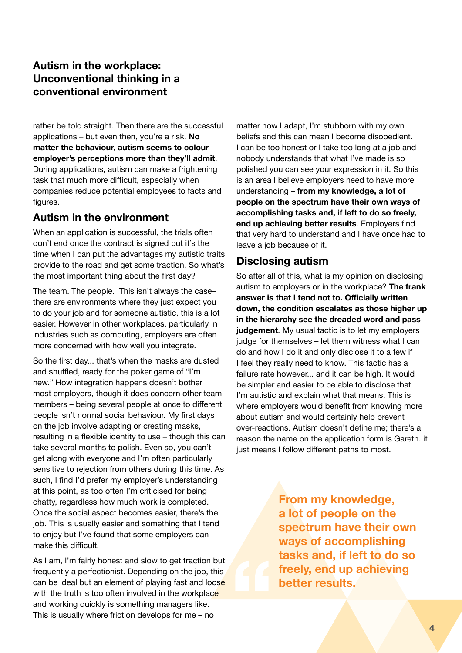#### **Autism in the workplace: Unconventional thinking in a conventional environment**

rather be told straight. Then there are the successful applications – but even then, you're a risk. **No matter the behaviour, autism seems to colour employer's perceptions more than they'll admit**. During applications, autism can make a frightening task that much more difficult, especially when companies reduce potential employees to facts and figures.

#### **Autism in the environment**

When an application is successful, the trials often don't end once the contract is signed but it's the time when I can put the advantages my autistic traits provide to the road and get some traction. So what's the most important thing about the first day?

The team. The people. This isn't always the case– there are environments where they just expect you to do your job and for someone autistic, this is a lot easier. However in other workplaces, particularly in industries such as computing, employers are often more concerned with how well you integrate.

So the first day... that's when the masks are dusted and shuffled, ready for the poker game of "I'm new." How integration happens doesn't bother most employers, though it does concern other team members – being several people at once to different people isn't normal social behaviour. My first days on the job involve adapting or creating masks, resulting in a flexible identity to use – though this can take several months to polish. Even so, you can't get along with everyone and I'm often particularly sensitive to rejection from others during this time. As such, I find I'd prefer my employer's understanding at this point, as too often I'm criticised for being chatty, regardless how much work is completed. Once the social aspect becomes easier, there's the job. This is usually easier and something that I tend to enjoy but I've found that some employers can make this difficult.

As I am, I'm fairly honest and slow to get traction but frequently a perfectionist. Depending on the job, this can be ideal but an element of playing fast and loose with the truth is too often involved in the workplace and working quickly is something managers like. This is usually where friction develops for me – no

matter how I adapt, I'm stubborn with my own beliefs and this can mean I become disobedient. I can be too honest or I take too long at a job and nobody understands that what I've made is so polished you can see your expression in it. So this is an area I believe employers need to have more understanding – **from my knowledge, a lot of people on the spectrum have their own ways of accomplishing tasks and, if left to do so freely, end up achieving better results**. Employers find that very hard to understand and I have once had to leave a job because of it.

### **Disclosing autism**

So after all of this, what is my opinion on disclosing autism to employers or in the workplace? **The frank answer is that I tend not to. Officially written down, the condition escalates as those higher up in the hierarchy see the dreaded word and pass judgement**. My usual tactic is to let my employers judge for themselves – let them witness what I can do and how I do it and only disclose it to a few if I feel they really need to know. This tactic has a failure rate however... and it can be high. It would be simpler and easier to be able to disclose that I'm autistic and explain what that means. This is where employers would benefit from knowing more about autism and would certainly help prevent over-reactions. Autism doesn't define me; there's a reason the name on the application form is Gareth. it just means I follow different paths to most.

> **From my knowledge, a lot of people on the spectrum have their own ways of accomplishing tasks and, if left to do so freely, end up achieving better results.**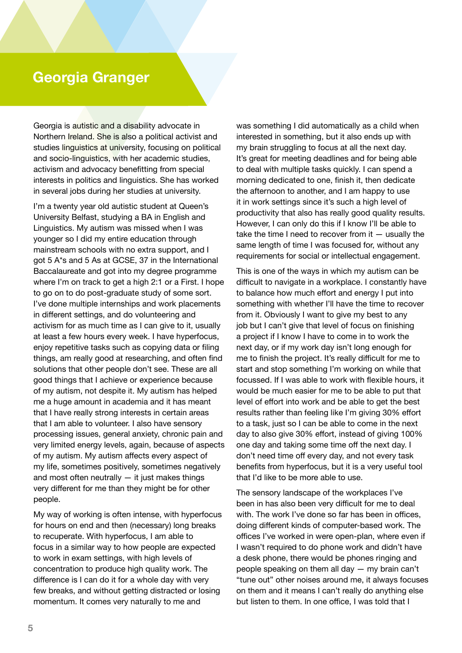# **Georgia Granger**

Georgia is autistic and a disability advocate in Northern Ireland. She is also a political activist and studies linguistics at university, focusing on political and socio-linguistics, with her academic studies, activism and advocacy benefitting from special interests in politics and linguistics. She has worked in several jobs during her studies at university.

I'm a twenty year old autistic student at Queen's University Belfast, studying a BA in English and Linguistics. My autism was missed when I was younger so I did my entire education through mainstream schools with no extra support, and I got 5 A\*s and 5 As at GCSE, 37 in the International Baccalaureate and got into my degree programme where I'm on track to get a high 2:1 or a First. I hope to go on to do post-graduate study of some sort. I've done multiple internships and work placements in different settings, and do volunteering and activism for as much time as I can give to it, usually at least a few hours every week. I have hyperfocus, enjoy repetitive tasks such as copying data or filing things, am really good at researching, and often find solutions that other people don't see. These are all good things that I achieve or experience because of my autism, not despite it. My autism has helped me a huge amount in academia and it has meant that I have really strong interests in certain areas that I am able to volunteer. I also have sensory processing issues, general anxiety, chronic pain and very limited energy levels, again, because of aspects of my autism. My autism affects every aspect of my life, sometimes positively, sometimes negatively and most often neutrally  $-$  it just makes things very different for me than they might be for other people.

My way of working is often intense, with hyperfocus for hours on end and then (necessary) long breaks to recuperate. With hyperfocus, I am able to focus in a similar way to how people are expected to work in exam settings, with high levels of concentration to produce high quality work. The difference is I can do it for a whole day with very few breaks, and without getting distracted or losing momentum. It comes very naturally to me and

was something I did automatically as a child when interested in something, but it also ends up with my brain struggling to focus at all the next day. It's great for meeting deadlines and for being able to deal with multiple tasks quickly. I can spend a morning dedicated to one, finish it, then dedicate the afternoon to another, and I am happy to use it in work settings since it's such a high level of productivity that also has really good quality results. However, I can only do this if I know I'll be able to take the time I need to recover from it — usually the same length of time I was focused for, without any requirements for social or intellectual engagement.

This is one of the ways in which my autism can be difficult to navigate in a workplace. I constantly have to balance how much effort and energy I put into something with whether I'll have the time to recover from it. Obviously I want to give my best to any job but I can't give that level of focus on finishing a project if I know I have to come in to work the next day, or if my work day isn't long enough for me to finish the project. It's really difficult for me to start and stop something I'm working on while that focussed. If I was able to work with flexible hours, it would be much easier for me to be able to put that level of effort into work and be able to get the best results rather than feeling like I'm giving 30% effort to a task, just so I can be able to come in the next day to also give 30% effort, instead of giving 100% one day and taking some time off the next day. I don't need time off every day, and not every task benefits from hyperfocus, but it is a very useful tool that I'd like to be more able to use.

The sensory landscape of the workplaces I've been in has also been very difficult for me to deal with. The work I've done so far has been in offices, doing different kinds of computer-based work. The offices I've worked in were open-plan, where even if I wasn't required to do phone work and didn't have a desk phone, there would be phones ringing and people speaking on them all day — my brain can't "tune out" other noises around me, it always focuses on them and it means I can't really do anything else but listen to them. In one office, I was told that I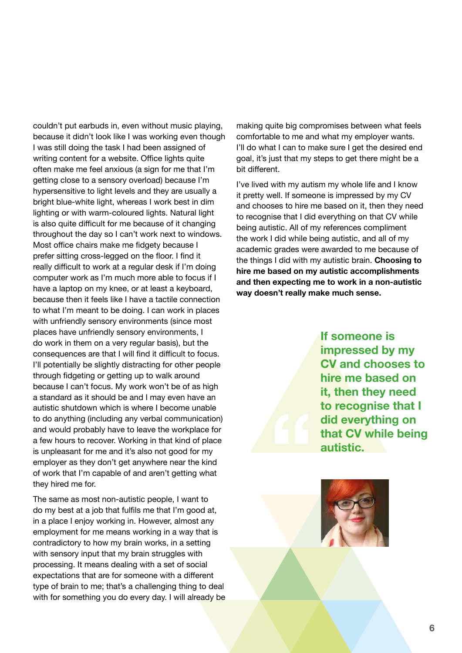couldn't put earbuds in, even without music playing, because it didn't look like I was working even though I was still doing the task I had been assigned of writing content for a website. Office lights quite often make me feel anxious (a sign for me that I'm getting close to a sensory overload) because I'm hypersensitive to light levels and they are usually a bright blue-white light, whereas I work best in dim lighting or with warm-coloured lights. Natural light is also quite difficult for me because of it changing throughout the day so I can't work next to windows. Most office chairs make me fidgety because I prefer sitting cross-legged on the floor. I find it really difficult to work at a regular desk if I'm doing computer work as I'm much more able to focus if I have a laptop on my knee, or at least a keyboard, because then it feels like I have a tactile connection to what I'm meant to be doing. I can work in places with unfriendly sensory environments (since most places have unfriendly sensory environments, I do work in them on a very regular basis), but the consequences are that I will find it difficult to focus. I'll potentially be slightly distracting for other people through fidgeting or getting up to walk around because I can't focus. My work won't be of as high a standard as it should be and I may even have an autistic shutdown which is where I become unable to do anything (including any verbal communication) and would probably have to leave the workplace for a few hours to recover. Working in that kind of place is unpleasant for me and it's also not good for my employer as they don't get anywhere near the kind of work that I'm capable of and aren't getting what they hired me for.

The same as most non-autistic people, I want to do my best at a job that fulfils me that I'm good at, in a place I enjoy working in. However, almost any employment for me means working in a way that is contradictory to how my brain works, in a setting with sensory input that my brain struggles with processing. It means dealing with a set of social expectations that are for someone with a different type of brain to me; that's a challenging thing to deal with for something you do every day. I will already be

making quite big compromises between what feels comfortable to me and what my employer wants. I'll do what I can to make sure I get the desired end goal, it's just that my steps to get there might be a bit different.

I've lived with my autism my whole life and I know it pretty well. If someone is impressed by my CV and chooses to hire me based on it, then they need to recognise that I did everything on that CV while being autistic. All of my references compliment the work I did while being autistic, and all of my academic grades were awarded to me because of the things I did with my autistic brain. **Choosing to hire me based on my autistic accomplishments and then expecting me to work in a non-autistic way doesn't really make much sense.** 

> **If someone is impressed by my CV and chooses to hire me based on it, then they need to recognise that I did everything on that CV while being autistic.**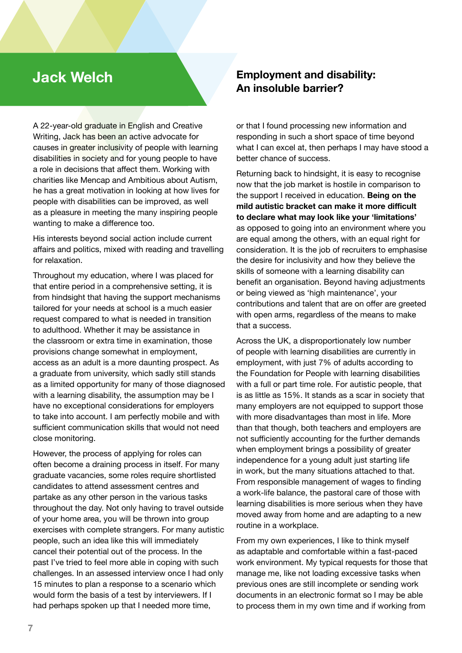# **Jack Welch**

A 22-year-old graduate in English and Creative Writing, Jack has been an active advocate for causes in greater inclusivity of people with learning disabilities in society and for young people to have a role in decisions that affect them. Working with charities like Mencap and Ambitious about Autism, he has a great motivation in looking at how lives for people with disabilities can be improved, as well as a pleasure in meeting the many inspiring people wanting to make a difference too.

His interests beyond social action include current affairs and politics, mixed with reading and travelling for relaxation.

Throughout my education, where I was placed for that entire period in a comprehensive setting, it is from hindsight that having the support mechanisms tailored for your needs at school is a much easier request compared to what is needed in transition to adulthood. Whether it may be assistance in the classroom or extra time in examination, those provisions change somewhat in employment, access as an adult is a more daunting prospect. As a graduate from university, which sadly still stands as a limited opportunity for many of those diagnosed with a learning disability, the assumption may be I have no exceptional considerations for employers to take into account. I am perfectly mobile and with sufficient communication skills that would not need close monitoring.

However, the process of applying for roles can often become a draining process in itself. For many graduate vacancies, some roles require shortlisted candidates to attend assessment centres and partake as any other person in the various tasks throughout the day. Not only having to travel outside of your home area, you will be thrown into group exercises with complete strangers. For many autistic people, such an idea like this will immediately cancel their potential out of the process. In the past I've tried to feel more able in coping with such challenges. In an assessed interview once I had only 15 minutes to plan a response to a scenario which would form the basis of a test by interviewers. If I had perhaps spoken up that I needed more time,

### **Employment and disability: An insoluble barrier?**

or that I found processing new information and responding in such a short space of time beyond what I can excel at, then perhaps I may have stood a better chance of success.

Returning back to hindsight, it is easy to recognise now that the job market is hostile in comparison to the support I received in education. **Being on the mild autistic bracket can make it more difficult to declare what may look like your 'limitations'** as opposed to going into an environment where you are equal among the others, with an equal right for consideration. It is the job of recruiters to emphasise the desire for inclusivity and how they believe the skills of someone with a learning disability can benefit an organisation. Beyond having adjustments or being viewed as 'high maintenance', your contributions and talent that are on offer are greeted with open arms, regardless of the means to make that a success.

Across the UK, a disproportionately low number of people with learning disabilities are currently in employment, with just 7% of adults according to the Foundation for People with learning disabilities with a full or part time role. For autistic people, that is as little as 15%. It stands as a scar in society that many employers are not equipped to support those with more disadvantages than most in life. More than that though, both teachers and employers are not sufficiently accounting for the further demands when employment brings a possibility of greater independence for a young adult just starting life in work, but the many situations attached to that. From responsible management of wages to finding a work-life balance, the pastoral care of those with learning disabilities is more serious when they have moved away from home and are adapting to a new routine in a workplace.

From my own experiences, I like to think myself as adaptable and comfortable within a fast-paced work environment. My typical requests for those that manage me, like not loading excessive tasks when previous ones are still incomplete or sending work documents in an electronic format so I may be able to process them in my own time and if working from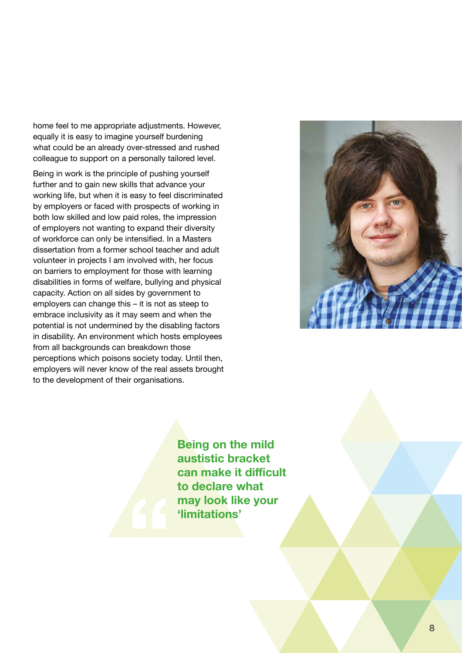home feel to me appropriate adjustments. However, equally it is easy to imagine yourself burdening what could be an already over-stressed and rushed colleague to support on a personally tailored level.

Being in work is the principle of pushing yourself further and to gain new skills that advance your working life, but when it is easy to feel discriminated by employers or faced with prospects of working in both low skilled and low paid roles, the impression of employers not wanting to expand their diversity of workforce can only be intensified. In a Masters dissertation from a former school teacher and adult volunteer in projects I am involved with, her focus on barriers to employment for those with learning disabilities in forms of welfare, bullying and physical capacity. Action on all sides by government to employers can change this – it is not as steep to embrace inclusivity as it may seem and when the potential is not undermined by the disabling factors in disability. An environment which hosts employees from all backgrounds can breakdown those perceptions which poisons society today. Until then, employers will never know of the real assets brought to the development of their organisations.



**Being on the mild austistic bracket can make it difficult to declare what may look like your 'limitations'**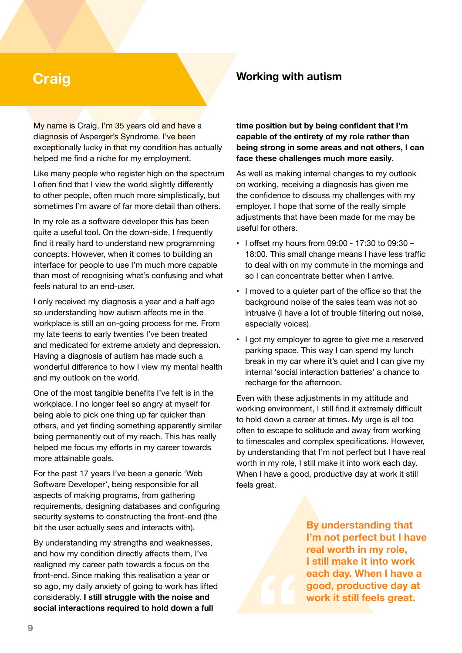# **Craig**

My name is Craig, I'm 35 years old and have a diagnosis of Asperger's Syndrome. I've been exceptionally lucky in that my condition has actually helped me find a niche for my employment.

Like many people who register high on the spectrum I often find that I view the world slightly differently to other people, often much more simplistically, but sometimes I'm aware of far more detail than others.

In my role as a software developer this has been quite a useful tool. On the down-side, I frequently find it really hard to understand new programming concepts. However, when it comes to building an interface for people to use I'm much more capable than most of recognising what's confusing and what feels natural to an end-user.

I only received my diagnosis a year and a half ago so understanding how autism affects me in the workplace is still an on-going process for me. From my late teens to early twenties I've been treated and medicated for extreme anxiety and depression. Having a diagnosis of autism has made such a wonderful difference to how I view my mental health and my outlook on the world.

One of the most tangible benefits I've felt is in the workplace. I no longer feel so angry at myself for being able to pick one thing up far quicker than others, and yet finding something apparently similar being permanently out of my reach. This has really helped me focus my efforts in my career towards more attainable goals.

For the past 17 years I've been a generic 'Web Software Developer', being responsible for all aspects of making programs, from gathering requirements, designing databases and configuring security systems to constructing the front-end (the bit the user actually sees and interacts with).

By understanding my strengths and weaknesses, and how my condition directly affects them, I've realigned my career path towards a focus on the front-end. Since making this realisation a year or so ago, my daily anxiety of going to work has lifted considerably. **I still struggle with the noise and social interactions required to hold down a full** 

#### **Working with autism**

**time position but by being confident that I'm capable of the entirety of my role rather than being strong in some areas and not others, I can face these challenges much more easily**.

As well as making internal changes to my outlook on working, receiving a diagnosis has given me the confidence to discuss my challenges with my employer. I hope that some of the really simple adjustments that have been made for me may be useful for others.

- $\cdot$  1 offset my hours from 09:00 17:30 to 09:30 -18:00. This small change means I have less traffic to deal with on my commute in the mornings and so I can concentrate better when I arrive.
- I moved to a quieter part of the office so that the background noise of the sales team was not so intrusive (I have a lot of trouble filtering out noise, especially voices).
- I got my employer to agree to give me a reserved parking space. This way I can spend my lunch break in my car where it's quiet and I can give my internal 'social interaction batteries' a chance to recharge for the afternoon.

Even with these adjustments in my attitude and working environment, I still find it extremely difficult to hold down a career at times. My urge is all too often to escape to solitude and away from working to timescales and complex specifications. However, by understanding that I'm not perfect but I have real worth in my role, I still make it into work each day. When I have a good, productive day at work it still feels great.

> **By understanding that I'm not perfect but I have real worth in my role, I still make it into work each day. When I have a good, productive day at work it still feels great.**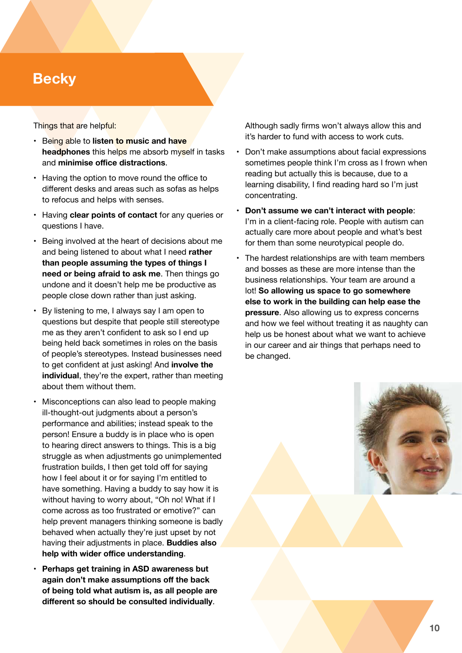# **Becky**

#### Things that are helpful:

- Being able to **listen to music and have headphones** this helps me absorb myself in tasks and **minimise office distractions**.
- Having the option to move round the office to different desks and areas such as sofas as helps to refocus and helps with senses.
- Having **clear points of contact** for any queries or questions I have.
- Being involved at the heart of decisions about me and being listened to about what I need **rather than people assuming the types of things I need or being afraid to ask me**. Then things go undone and it doesn't help me be productive as people close down rather than just asking.
- By listening to me, I always say I am open to questions but despite that people still stereotype me as they aren't confident to ask so I end up being held back sometimes in roles on the basis of people's stereotypes. Instead businesses need to get confident at just asking! And **involve the individual**, they're the expert, rather than meeting about them without them.
- Misconceptions can also lead to people making ill-thought-out judgments about a person's performance and abilities; instead speak to the person! Ensure a buddy is in place who is open to hearing direct answers to things. This is a big struggle as when adjustments go unimplemented frustration builds, I then get told off for saying how I feel about it or for saying I'm entitled to have something. Having a buddy to say how it is without having to worry about, "Oh no! What if I come across as too frustrated or emotive?" can help prevent managers thinking someone is badly behaved when actually they're just upset by not having their adjustments in place. **Buddies also help with wider office understanding**.
- **Perhaps get training in ASD awareness but again don't make assumptions off the back of being told what autism is, as all people are different so should be consulted individually**.

Although sadly firms won't always allow this and it's harder to fund with access to work cuts.

- Don't make assumptions about facial expressions sometimes people think I'm cross as I frown when reading but actually this is because, due to a learning disability, I find reading hard so I'm just concentrating.
- **Don't assume we can't interact with people**: I'm in a client-facing role. People with autism can actually care more about people and what's best for them than some neurotypical people do.
- The hardest relationships are with team members and bosses as these are more intense than the business relationships. Your team are around a lot! **So allowing us space to go somewhere else to work in the building can help ease the pressure**. Also allowing us to express concerns and how we feel without treating it as naughty can help us be honest about what we want to achieve in our career and air things that perhaps need to be changed.

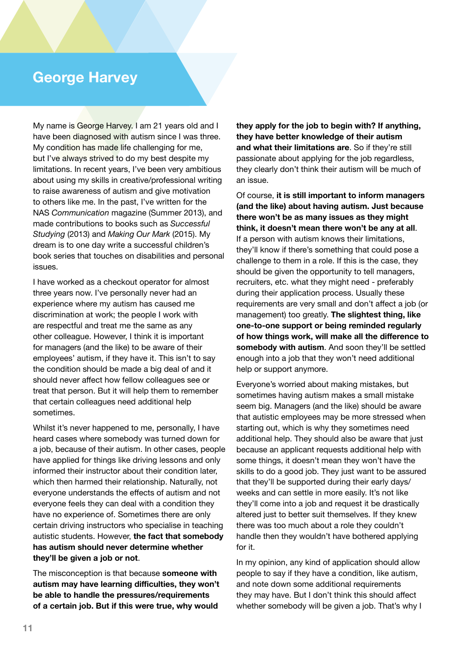# **George Harvey**

My name is George Harvey. I am 21 years old and I have been diagnosed with autism since I was three. My condition has made life challenging for me, but I've always strived to do my best despite my limitations. In recent years, I've been very ambitious about using my skills in creative/professional writing to raise awareness of autism and give motivation to others like me. In the past, I've written for the NAS *Communication* magazine (Summer 2013), and made contributions to books such as *Successful Studying* (2013) and *Making Our Mark* (2015). My dream is to one day write a successful children's book series that touches on disabilities and personal issues.

I have worked as a checkout operator for almost three years now. I've personally never had an experience where my autism has caused me discrimination at work; the people I work with are respectful and treat me the same as any other colleague. However, I think it is important for managers (and the like) to be aware of their employees' autism, if they have it. This isn't to say the condition should be made a big deal of and it should never affect how fellow colleagues see or treat that person. But it will help them to remember that certain colleagues need additional help sometimes.

Whilst it's never happened to me, personally, I have heard cases where somebody was turned down for a job, because of their autism. In other cases, people have applied for things like driving lessons and only informed their instructor about their condition later, which then harmed their relationship. Naturally, not everyone understands the effects of autism and not everyone feels they can deal with a condition they have no experience of. Sometimes there are only certain driving instructors who specialise in teaching autistic students. However, **the fact that somebody has autism should never determine whether they'll be given a job or not**.

The misconception is that because **someone with autism may have learning difficulties, they won't be able to handle the pressures/requirements of a certain job. But if this were true, why would** 

**they apply for the job to begin with? If anything, they have better knowledge of their autism and what their limitations are**. So if they're still passionate about applying for the job regardless, they clearly don't think their autism will be much of an issue.

Of course, **it is still important to inform managers (and the like) about having autism. Just because there won't be as many issues as they might think, it doesn't mean there won't be any at all**. If a person with autism knows their limitations, they'll know if there's something that could pose a challenge to them in a role. If this is the case, they should be given the opportunity to tell managers, recruiters, etc. what they might need - preferably during their application process. Usually these requirements are very small and don't affect a job (or management) too greatly. **The slightest thing, like one-to-one support or being reminded regularly of how things work, will make all the difference to somebody with autism**. And soon they'll be settled enough into a job that they won't need additional help or support anymore.

Everyone's worried about making mistakes, but sometimes having autism makes a small mistake seem big. Managers (and the like) should be aware that autistic employees may be more stressed when starting out, which is why they sometimes need additional help. They should also be aware that just because an applicant requests additional help with some things, it doesn't mean they won't have the skills to do a good job. They just want to be assured that they'll be supported during their early days/ weeks and can settle in more easily. It's not like they'll come into a job and request it be drastically altered just to better suit themselves. If they knew there was too much about a role they couldn't handle then they wouldn't have bothered applying for it.

In my opinion, any kind of application should allow people to say if they have a condition, like autism, and note down some additional requirements they may have. But I don't think this should affect whether somebody will be given a job. That's why I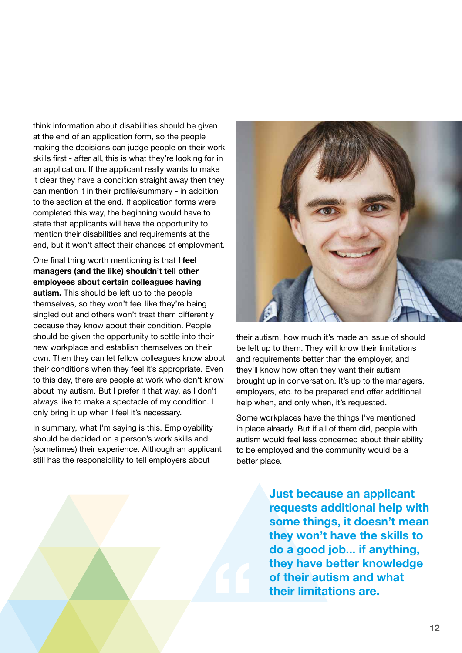think information about disabilities should be given at the end of an application form, so the people making the decisions can judge people on their work skills first - after all, this is what they're looking for in an application. If the applicant really wants to make it clear they have a condition straight away then they can mention it in their profile/summary - in addition to the section at the end. If application forms were completed this way, the beginning would have to state that applicants will have the opportunity to mention their disabilities and requirements at the end, but it won't affect their chances of employment.

One final thing worth mentioning is that **I feel managers (and the like) shouldn't tell other employees about certain colleagues having autism.** This should be left up to the people themselves, so they won't feel like they're being singled out and others won't treat them differently because they know about their condition. People should be given the opportunity to settle into their new workplace and establish themselves on their own. Then they can let fellow colleagues know about their conditions when they feel it's appropriate. Even to this day, there are people at work who don't know about my autism. But I prefer it that way, as I don't always like to make a spectacle of my condition. I only bring it up when I feel it's necessary.

In summary, what I'm saying is this. Employability should be decided on a person's work skills and (sometimes) their experience. Although an applicant still has the responsibility to tell employers about



their autism, how much it's made an issue of should be left up to them. They will know their limitations and requirements better than the employer, and they'll know how often they want their autism brought up in conversation. It's up to the managers, employers, etc. to be prepared and offer additional help when, and only when, it's requested.

Some workplaces have the things I've mentioned in place already. But if all of them did, people with autism would feel less concerned about their ability to be employed and the community would be a better place.

> **Just because an applicant requests additional help with some things, it doesn't mean they won't have the skills to do a good job... if anything, they have better knowledge of their autism and what their limitations are.**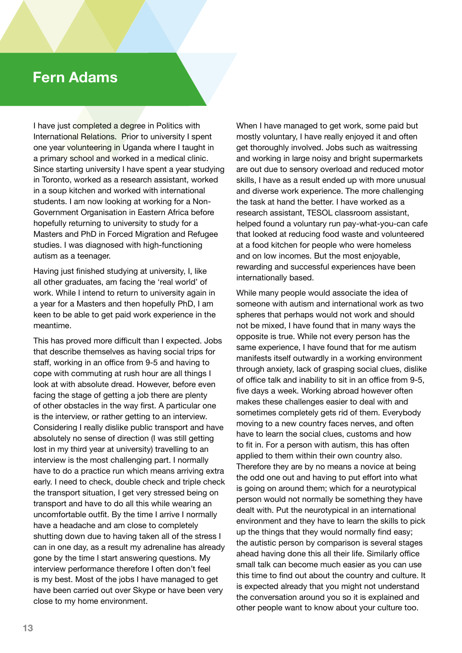# **Fern Adams**

I have just completed a degree in Politics with International Relations. Prior to university I spent one year volunteering in Uganda where I taught in a primary school and worked in a medical clinic. Since starting university I have spent a year studying in Toronto, worked as a research assistant, worked in a soup kitchen and worked with international students. I am now looking at working for a Non-Government Organisation in Eastern Africa before hopefully returning to university to study for a Masters and PhD in Forced Migration and Refugee studies. I was diagnosed with high-functioning autism as a teenager.

Having just finished studying at university, I, like all other graduates, am facing the 'real world' of work. While I intend to return to university again in a year for a Masters and then hopefully PhD, I am keen to be able to get paid work experience in the meantime.

This has proved more difficult than I expected. Jobs that describe themselves as having social trips for staff, working in an office from 9-5 and having to cope with commuting at rush hour are all things I look at with absolute dread. However, before even facing the stage of getting a job there are plenty of other obstacles in the way first. A particular one is the interview, or rather getting to an interview. Considering I really dislike public transport and have absolutely no sense of direction (I was still getting lost in my third year at university) travelling to an interview is the most challenging part. I normally have to do a practice run which means arriving extra early. I need to check, double check and triple check the transport situation, I get very stressed being on transport and have to do all this while wearing an uncomfortable outfit. By the time I arrive I normally have a headache and am close to completely shutting down due to having taken all of the stress I can in one day, as a result my adrenaline has already gone by the time I start answering questions. My interview performance therefore I often don't feel is my best. Most of the jobs I have managed to get have been carried out over Skype or have been very close to my home environment.

When I have managed to get work, some paid but mostly voluntary, I have really enjoyed it and often get thoroughly involved. Jobs such as waitressing and working in large noisy and bright supermarkets are out due to sensory overload and reduced motor skills, I have as a result ended up with more unusual and diverse work experience. The more challenging the task at hand the better. I have worked as a research assistant, TESOL classroom assistant, helped found a voluntary run pay-what-you-can cafe that looked at reducing food waste and volunteered at a food kitchen for people who were homeless and on low incomes. But the most enjoyable, rewarding and successful experiences have been internationally based.

While many people would associate the idea of someone with autism and international work as two spheres that perhaps would not work and should not be mixed, I have found that in many ways the opposite is true. While not every person has the same experience, I have found that for me autism manifests itself outwardly in a working environment through anxiety, lack of grasping social clues, dislike of office talk and inability to sit in an office from 9-5, five days a week. Working abroad however often makes these challenges easier to deal with and sometimes completely gets rid of them. Everybody moving to a new country faces nerves, and often have to learn the social clues, customs and how to fit in. For a person with autism, this has often applied to them within their own country also. Therefore they are by no means a novice at being the odd one out and having to put effort into what is going on around them; which for a neurotypical person would not normally be something they have dealt with. Put the neurotypical in an international environment and they have to learn the skills to pick up the things that they would normally find easy; the autistic person by comparison is several stages ahead having done this all their life. Similarly office small talk can become much easier as you can use this time to find out about the country and culture. It is expected already that you might not understand the conversation around you so it is explained and other people want to know about your culture too.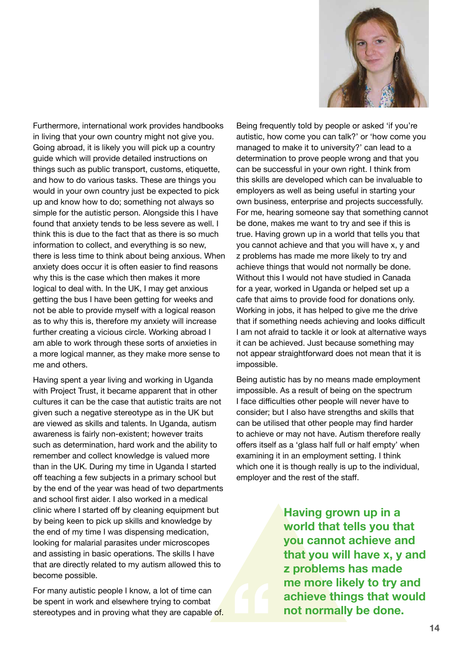

Furthermore, international work provides handbooks in living that your own country might not give you. Going abroad, it is likely you will pick up a country guide which will provide detailed instructions on things such as public transport, customs, etiquette, and how to do various tasks. These are things you would in your own country just be expected to pick up and know how to do; something not always so simple for the autistic person. Alongside this I have found that anxiety tends to be less severe as well. I think this is due to the fact that as there is so much information to collect, and everything is so new, there is less time to think about being anxious. When anxiety does occur it is often easier to find reasons why this is the case which then makes it more logical to deal with. In the UK, I may get anxious getting the bus I have been getting for weeks and not be able to provide myself with a logical reason as to why this is, therefore my anxiety will increase further creating a vicious circle. Working abroad I am able to work through these sorts of anxieties in a more logical manner, as they make more sense to me and others.

Having spent a year living and working in Uganda with Project Trust, it became apparent that in other cultures it can be the case that autistic traits are not given such a negative stereotype as in the UK but are viewed as skills and talents. In Uganda, autism awareness is fairly non-existent; however traits such as determination, hard work and the ability to remember and collect knowledge is valued more than in the UK. During my time in Uganda I started off teaching a few subjects in a primary school but by the end of the year was head of two departments and school first aider. I also worked in a medical clinic where I started off by cleaning equipment but by being keen to pick up skills and knowledge by the end of my time I was dispensing medication, looking for malarial parasites under microscopes and assisting in basic operations. The skills I have that are directly related to my autism allowed this to become possible.

For many autistic people I know, a lot of time can be spent in work and elsewhere trying to combat stereotypes and in proving what they are capable of.

Being frequently told by people or asked 'if you're autistic, how come you can talk?' or 'how come you managed to make it to university?' can lead to a determination to prove people wrong and that you can be successful in your own right. I think from this skills are developed which can be invaluable to employers as well as being useful in starting your own business, enterprise and projects successfully. For me, hearing someone say that something cannot be done, makes me want to try and see if this is true. Having grown up in a world that tells you that you cannot achieve and that you will have x, y and z problems has made me more likely to try and achieve things that would not normally be done. Without this I would not have studied in Canada for a year, worked in Uganda or helped set up a cafe that aims to provide food for donations only. Working in jobs, it has helped to give me the drive that if something needs achieving and looks difficult I am not afraid to tackle it or look at alternative ways it can be achieved. Just because something may not appear straightforward does not mean that it is impossible.

Being autistic has by no means made employment impossible. As a result of being on the spectrum I face difficulties other people will never have to consider; but I also have strengths and skills that can be utilised that other people may find harder to achieve or may not have. Autism therefore really offers itself as a 'glass half full or half empty' when examining it in an employment setting. I think which one it is though really is up to the individual, employer and the rest of the staff.

> **Having grown up in a world that tells you that you cannot achieve and that you will have x, y and z problems has made me more likely to try and achieve things that would not normally be done.**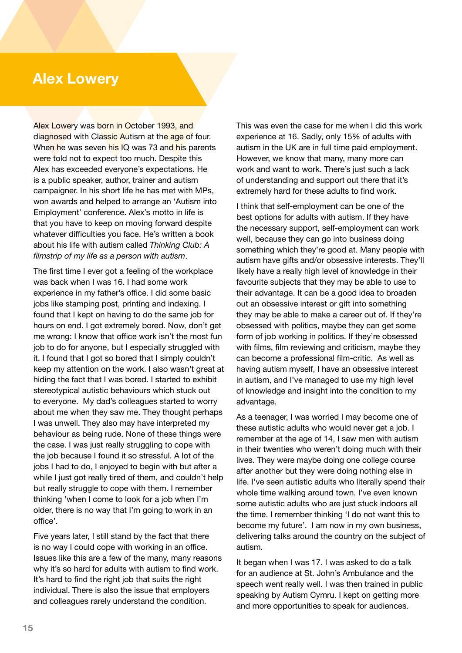# **Alex Lowery**

Alex Lowery was born in October 1993, and diagnosed with Classic Autism at the age of four. When he was seven his IQ was 73 and his parents were told not to expect too much. Despite this Alex has exceeded everyone's expectations. He is a public speaker, author, trainer and autism campaigner. In his short life he has met with MPs, won awards and helped to arrange an 'Autism into Employment' conference. Alex's motto in life is that you have to keep on moving forward despite whatever difficulties you face. He's written a book about his life with autism called *Thinking Club: A filmstrip of my life as a person with autism*.

The first time I ever got a feeling of the workplace was back when I was 16. I had some work experience in my father's office. I did some basic jobs like stamping post, printing and indexing. I found that I kept on having to do the same job for hours on end. I got extremely bored. Now, don't get me wrong: I know that office work isn't the most fun job to do for anyone, but I especially struggled with it. I found that I got so bored that I simply couldn't keep my attention on the work. I also wasn't great at hiding the fact that I was bored. I started to exhibit stereotypical autistic behaviours which stuck out to everyone. My dad's colleagues started to worry about me when they saw me. They thought perhaps I was unwell. They also may have interpreted my behaviour as being rude. None of these things were the case. I was just really struggling to cope with the job because I found it so stressful. A lot of the jobs I had to do, I enjoyed to begin with but after a while I just got really tired of them, and couldn't help but really struggle to cope with them. I remember thinking 'when I come to look for a job when I'm older, there is no way that I'm going to work in an office'.

Five years later, I still stand by the fact that there is no way I could cope with working in an office. Issues like this are a few of the many, many reasons why it's so hard for adults with autism to find work. It's hard to find the right job that suits the right individual. There is also the issue that employers and colleagues rarely understand the condition.

This was even the case for me when I did this work experience at 16. Sadly, only 15% of adults with autism in the UK are in full time paid employment. However, we know that many, many more can work and want to work. There's just such a lack of understanding and support out there that it's extremely hard for these adults to find work.

I think that self-employment can be one of the best options for adults with autism. If they have the necessary support, self-employment can work well, because they can go into business doing something which they're good at. Many people with autism have gifts and/or obsessive interests. They'll likely have a really high level of knowledge in their favourite subjects that they may be able to use to their advantage. It can be a good idea to broaden out an obsessive interest or gift into something they may be able to make a career out of. If they're obsessed with politics, maybe they can get some form of job working in politics. If they're obsessed with films, film reviewing and criticism, maybe they can become a professional film-critic. As well as having autism myself, I have an obsessive interest in autism, and I've managed to use my high level of knowledge and insight into the condition to my advantage.

As a teenager, I was worried I may become one of these autistic adults who would never get a job. I remember at the age of 14, I saw men with autism in their twenties who weren't doing much with their lives. They were maybe doing one college course after another but they were doing nothing else in life. I've seen autistic adults who literally spend their whole time walking around town. I've even known some autistic adults who are just stuck indoors all the time. I remember thinking 'I do not want this to become my future'. I am now in my own business, delivering talks around the country on the subject of autism.

It began when I was 17. I was asked to do a talk for an audience at St. John's Ambulance and the speech went really well. I was then trained in public speaking by Autism Cymru. I kept on getting more and more opportunities to speak for audiences.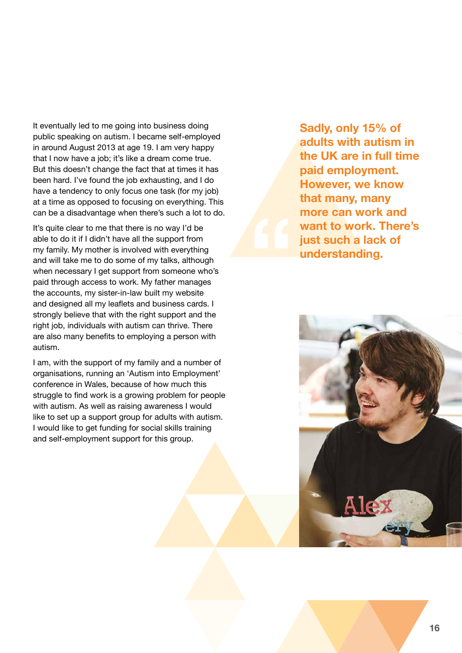It eventually led to me going into business doing public speaking on autism. I became self-employed in around August 2013 at age 19. I am very happy that I now have a job; it's like a dream come true. But this doesn't change the fact that at times it has been hard. I've found the job exhausting, and I do have a tendency to only focus one task (for my job) at a time as opposed to focusing on everything. This can be a disadvantage when there's such a lot to do.

It's quite clear to me that there is no way I'd be able to do it if I didn't have all the support from my family. My mother is involved with everything and will take me to do some of my talks, although when necessary I get support from someone who's paid through access to work. My father manages the accounts, my sister-in-law built my website and designed all my leaflets and business cards. I strongly believe that with the right support and the right job, individuals with autism can thrive. There are also many benefits to employing a person with autism.

I am, with the support of my family and a number of organisations, running an 'Autism into Employment' conference in Wales, because of how much this struggle to find work is a growing problem for people with autism. As well as raising awareness I would like to set up a support group for adults with autism. I would like to get funding for social skills training and self-employment support for this group.

**Sadly, only 15% of adults with autism in the UK are in full time paid employment. However, we know that many, many more can work and want to work. There's just such a lack of understanding.**

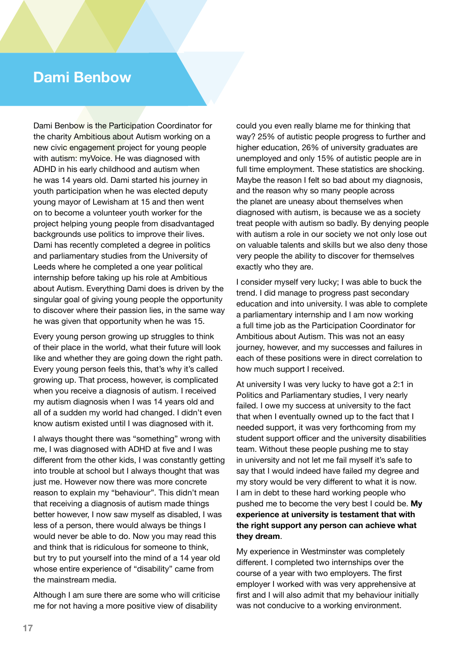# **Dami Benbow**

Dami Benbow is the Participation Coordinator for the charity Ambitious about Autism working on a new civic engagement project for young people with autism: myVoice. He was diagnosed with ADHD in his early childhood and autism when he was 14 years old. Dami started his journey in youth participation when he was elected deputy young mayor of Lewisham at 15 and then went on to become a volunteer youth worker for the project helping young people from disadvantaged backgrounds use politics to improve their lives. Dami has recently completed a degree in politics and parliamentary studies from the University of Leeds where he completed a one year political internship before taking up his role at Ambitious about Autism. Everything Dami does is driven by the singular goal of giving young people the opportunity to discover where their passion lies, in the same way he was given that opportunity when he was 15.

Every young person growing up struggles to think of their place in the world, what their future will look like and whether they are going down the right path. Every young person feels this, that's why it's called growing up. That process, however, is complicated when you receive a diagnosis of autism. I received my autism diagnosis when I was 14 years old and all of a sudden my world had changed. I didn't even know autism existed until I was diagnosed with it.

I always thought there was "something" wrong with me, I was diagnosed with ADHD at five and I was different from the other kids, I was constantly getting into trouble at school but I always thought that was just me. However now there was more concrete reason to explain my "behaviour". This didn't mean that receiving a diagnosis of autism made things better however, I now saw myself as disabled, I was less of a person, there would always be things I would never be able to do. Now you may read this and think that is ridiculous for someone to think, but try to put yourself into the mind of a 14 year old whose entire experience of "disability" came from the mainstream media.

Although I am sure there are some who will criticise me for not having a more positive view of disability

could you even really blame me for thinking that way? 25% of autistic people progress to further and higher education, 26% of university graduates are unemployed and only 15% of autistic people are in full time employment. These statistics are shocking. Maybe the reason I felt so bad about my diagnosis, and the reason why so many people across the planet are uneasy about themselves when diagnosed with autism, is because we as a society treat people with autism so badly. By denying people with autism a role in our society we not only lose out on valuable talents and skills but we also deny those very people the ability to discover for themselves exactly who they are.

I consider myself very lucky; I was able to buck the trend. I did manage to progress past secondary education and into university. I was able to complete a parliamentary internship and I am now working a full time job as the Participation Coordinator for Ambitious about Autism. This was not an easy journey, however, and my successes and failures in each of these positions were in direct correlation to how much support I received.

At university I was very lucky to have got a 2:1 in Politics and Parliamentary studies, I very nearly failed. I owe my success at university to the fact that when I eventually owned up to the fact that I needed support, it was very forthcoming from my student support officer and the university disabilities team. Without these people pushing me to stay in university and not let me fail myself it's safe to say that I would indeed have failed my degree and my story would be very different to what it is now. I am in debt to these hard working people who pushed me to become the very best I could be. **My experience at university is testament that with the right support any person can achieve what they dream**.

My experience in Westminster was completely different. I completed two internships over the course of a year with two employers. The first employer I worked with was very apprehensive at first and I will also admit that my behaviour initially was not conducive to a working environment.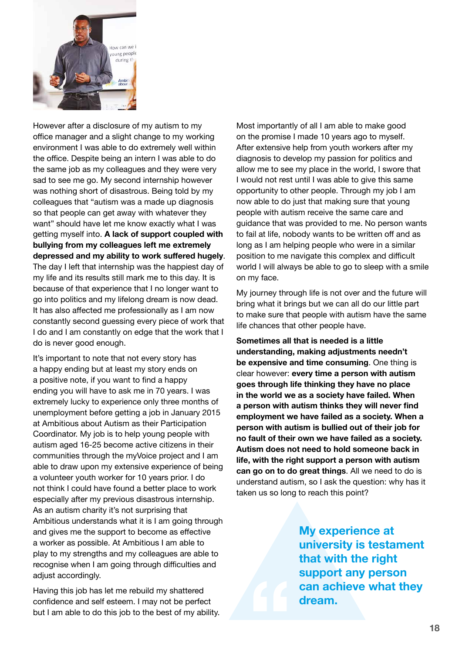

However after a disclosure of my autism to my office manager and a slight change to my working environment I was able to do extremely well within the office. Despite being an intern I was able to do the same job as my colleagues and they were very sad to see me go. My second internship however was nothing short of disastrous. Being told by my colleagues that "autism was a made up diagnosis so that people can get away with whatever they want" should have let me know exactly what I was getting myself into. **A lack of support coupled with bullying from my colleagues left me extremely depressed and my ability to work suffered hugely**. The day I left that internship was the happiest day of my life and its results still mark me to this day. It is because of that experience that I no longer want to go into politics and my lifelong dream is now dead. It has also affected me professionally as I am now constantly second guessing every piece of work that I do and I am constantly on edge that the work that I do is never good enough.

It's important to note that not every story has a happy ending but at least my story ends on a positive note, if you want to find a happy ending you will have to ask me in 70 years. I was extremely lucky to experience only three months of unemployment before getting a job in January 2015 at Ambitious about Autism as their Participation Coordinator. My job is to help young people with autism aged 16-25 become active citizens in their communities through the myVoice project and I am able to draw upon my extensive experience of being a volunteer youth worker for 10 years prior. I do not think I could have found a better place to work especially after my previous disastrous internship. As an autism charity it's not surprising that Ambitious understands what it is I am going through and gives me the support to become as effective a worker as possible. At Ambitious I am able to play to my strengths and my colleagues are able to recognise when I am going through difficulties and adjust accordingly.

Having this job has let me rebuild my shattered confidence and self esteem. I may not be perfect but I am able to do this job to the best of my ability.

Most importantly of all I am able to make good on the promise I made 10 years ago to myself. After extensive help from youth workers after my diagnosis to develop my passion for politics and allow me to see my place in the world, I swore that I would not rest until I was able to give this same opportunity to other people. Through my job I am now able to do just that making sure that young people with autism receive the same care and guidance that was provided to me. No person wants to fail at life, nobody wants to be written off and as long as I am helping people who were in a similar position to me navigate this complex and difficult world I will always be able to go to sleep with a smile on my face.

My journey through life is not over and the future will bring what it brings but we can all do our little part to make sure that people with autism have the same life chances that other people have.

**Sometimes all that is needed is a little understanding, making adjustments needn't be expensive and time consuming**. One thing is clear however: **every time a person with autism goes through life thinking they have no place in the world we as a society have failed. When a person with autism thinks they will never find employment we have failed as a society. When a person with autism is bullied out of their job for no fault of their own we have failed as a society. Autism does not need to hold someone back in life, with the right support a person with autism can go on to do great things**. All we need to do is understand autism, so I ask the question: why has it taken us so long to reach this point?

> **My experience at university is testament that with the right support any person can achieve what they dream.**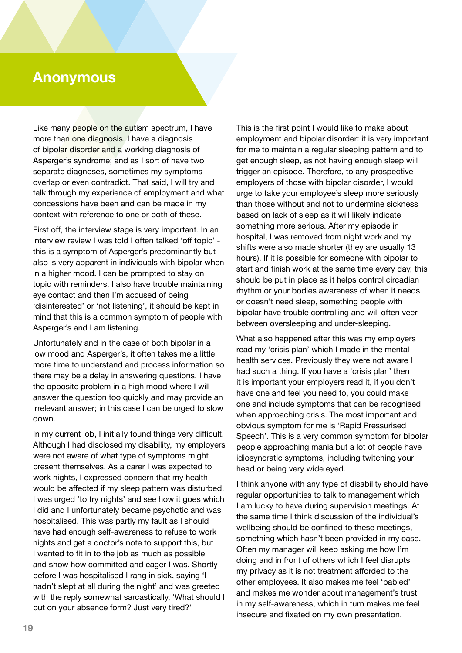# **Anonymous**

Like many people on the autism spectrum, I have more than one diagnosis. I have a diagnosis of bipolar disorder and a working diagnosis of Asperger's syndrome; and as I sort of have two separate diagnoses, sometimes my symptoms overlap or even contradict. That said, I will try and talk through my experience of employment and what concessions have been and can be made in my context with reference to one or both of these.

First off, the interview stage is very important. In an interview review I was told I often talked 'off topic' this is a symptom of Asperger's predominantly but also is very apparent in individuals with bipolar when in a higher mood. I can be prompted to stay on topic with reminders. I also have trouble maintaining eye contact and then I'm accused of being 'disinterested' or 'not listening', it should be kept in mind that this is a common symptom of people with Asperger's and I am listening.

Unfortunately and in the case of both bipolar in a low mood and Asperger's, it often takes me a little more time to understand and process information so there may be a delay in answering questions. I have the opposite problem in a high mood where I will answer the question too quickly and may provide an irrelevant answer; in this case I can be urged to slow down.

In my current job, I initially found things very difficult. Although I had disclosed my disability, my employers were not aware of what type of symptoms might present themselves. As a carer I was expected to work nights, I expressed concern that my health would be affected if my sleep pattern was disturbed. I was urged 'to try nights' and see how it goes which I did and I unfortunately became psychotic and was hospitalised. This was partly my fault as I should have had enough self-awareness to refuse to work nights and get a doctor's note to support this, but I wanted to fit in to the job as much as possible and show how committed and eager I was. Shortly before I was hospitalised I rang in sick, saying 'I hadn't slept at all during the night' and was greeted with the reply somewhat sarcastically, 'What should I put on your absence form? Just very tired?'

This is the first point I would like to make about employment and bipolar disorder: it is very important for me to maintain a regular sleeping pattern and to get enough sleep, as not having enough sleep will trigger an episode. Therefore, to any prospective employers of those with bipolar disorder, I would urge to take your employee's sleep more seriously than those without and not to undermine sickness based on lack of sleep as it will likely indicate something more serious. After my episode in hospital, I was removed from night work and my shifts were also made shorter (they are usually 13 hours). If it is possible for someone with bipolar to start and finish work at the same time every day, this should be put in place as it helps control circadian rhythm or your bodies awareness of when it needs or doesn't need sleep, something people with bipolar have trouble controlling and will often veer between oversleeping and under-sleeping.

What also happened after this was my employers read my 'crisis plan' which I made in the mental health services. Previously they were not aware I had such a thing. If you have a 'crisis plan' then it is important your employers read it, if you don't have one and feel you need to, you could make one and include symptoms that can be recognised when approaching crisis. The most important and obvious symptom for me is 'Rapid Pressurised Speech'. This is a very common symptom for bipolar people approaching mania but a lot of people have idiosyncratic symptoms, including twitching your head or being very wide eyed.

I think anyone with any type of disability should have regular opportunities to talk to management which I am lucky to have during supervision meetings. At the same time I think discussion of the individual's wellbeing should be confined to these meetings, something which hasn't been provided in my case. Often my manager will keep asking me how I'm doing and in front of others which I feel disrupts my privacy as it is not treatment afforded to the other employees. It also makes me feel 'babied' and makes me wonder about management's trust in my self-awareness, which in turn makes me feel insecure and fixated on my own presentation.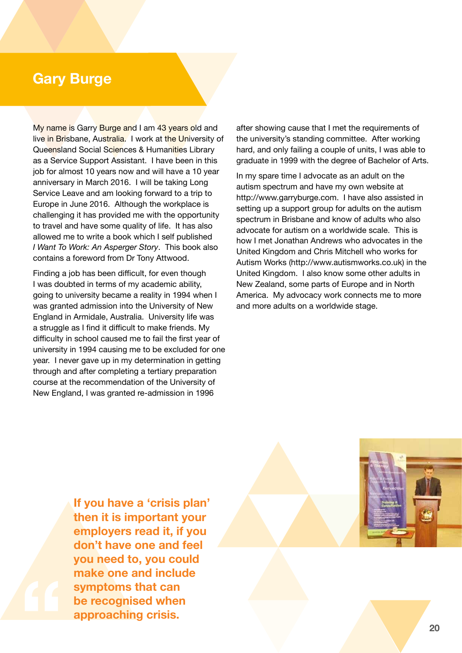# **Gary Burge**

My name is Garry Burge and I am 43 years old and live in Brisbane, Australia. I work at the University of Queensland Social Sciences & Humanities Library as a Service Support Assistant. I have been in this job for almost 10 years now and will have a 10 year anniversary in March 2016. I will be taking Long Service Leave and am looking forward to a trip to Europe in June 2016. Although the workplace is challenging it has provided me with the opportunity to travel and have some quality of life. It has also allowed me to write a book which I self published *I Want To Work: An Asperger Story*. This book also contains a foreword from Dr Tony Attwood.

Finding a job has been difficult, for even though I was doubted in terms of my academic ability, going to university became a reality in 1994 when I was granted admission into the University of New England in Armidale, Australia. University life was a struggle as I find it difficult to make friends. My difficulty in school caused me to fail the first year of university in 1994 causing me to be excluded for one year. I never gave up in my determination in getting through and after completing a tertiary preparation course at the recommendation of the University of New England, I was granted re-admission in 1996

after showing cause that I met the requirements of the university's standing committee. After working hard, and only failing a couple of units, I was able to graduate in 1999 with the degree of Bachelor of Arts.

In my spare time I advocate as an adult on the autism spectrum and have my own website at http://www.garryburge.com. I have also assisted in setting up a support group for adults on the autism spectrum in Brisbane and know of adults who also advocate for autism on a worldwide scale. This is how I met Jonathan Andrews who advocates in the United Kingdom and Chris Mitchell who works for Autism Works (http://www.autismworks.co.uk) in the United Kingdom. I also know some other adults in New Zealand, some parts of Europe and in North America. My advocacy work connects me to more and more adults on a worldwide stage.

**If you have a 'crisis plan' then it is important your employers read it, if you don't have one and feel you need to, you could make one and include symptoms that can be recognised when approaching crisis.**

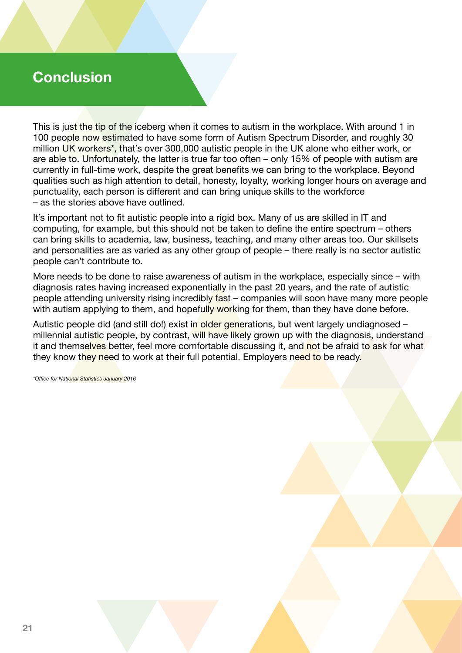# **Conclusion**

This is just the tip of the iceberg when it comes to autism in the workplace. With around 1 in 100 people now estimated to have some form of Autism Spectrum Disorder, and roughly 30 million UK workers\*, that's over 300,000 autistic people in the UK alone who either work, or are able to. Unfortunately, the latter is true far too often – only 15% of people with autism are currently in full-time work, despite the great benefits we can bring to the workplace. Beyond qualities such as high attention to detail, honesty, loyalty, working longer hours on average and punctuality, each person is different and can bring unique skills to the workforce – as the stories above have outlined.

It's important not to fit autistic people into a rigid box. Many of us are skilled in IT and computing, for example, but this should not be taken to define the entire spectrum – others can bring skills to academia, law, business, teaching, and many other areas too. Our skillsets and personalities are as varied as any other group of people – there really is no sector autistic people can't contribute to.

More needs to be done to raise awareness of autism in the workplace, especially since – with diagnosis rates having increased exponentially in the past 20 years, and the rate of autistic people attending university rising incredibly fast – companies will soon have many more people with autism applying to them, and hopefully working for them, than they have done before.

Autistic people did (and still do!) exist in older generations, but went largely undiagnosed – millennial autistic people, by contrast, will have likely grown up with the diagnosis, understand it and themselves better, feel more comfortable discussing it, and not be afraid to ask for what they know they need to work at their full potential. Employers need to be ready.

*\*Office for National Statistics January 2016*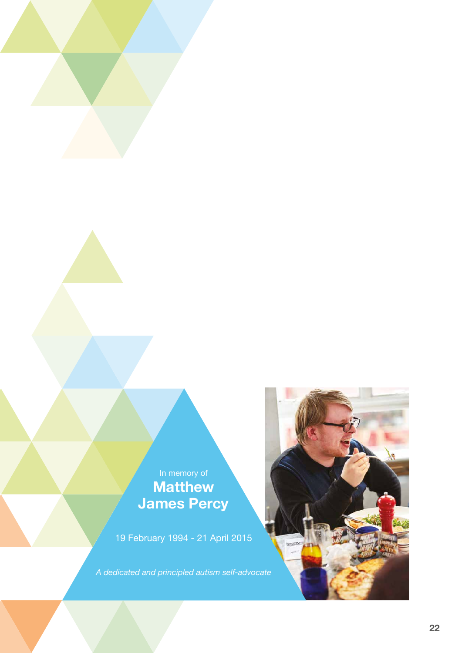In memory of **Matthew James Percy**

19 February 1994 - 21 April 2015

*A dedicated and principled autism self-advocate*